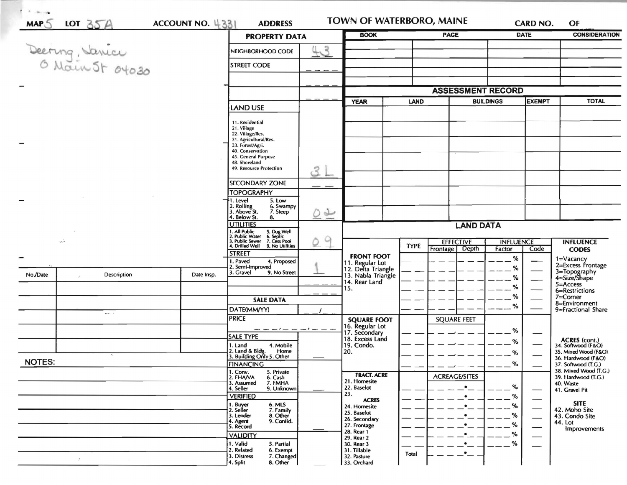| MAP 5         | LOT $35A$                                                           |                                                                                                    | ACCOUNT NO. 4331<br><b>ADDRESS</b>                                                |                              | TOWN OF WATERBORO, MAINE                 |                          |                    |               | <b>CARD NO.</b>                              | OF                                        |
|---------------|---------------------------------------------------------------------|----------------------------------------------------------------------------------------------------|-----------------------------------------------------------------------------------|------------------------------|------------------------------------------|--------------------------|--------------------|---------------|----------------------------------------------|-------------------------------------------|
|               |                                                                     |                                                                                                    | <b>PROPERTY DATA</b>                                                              |                              | <b>BOOK</b>                              |                          | <b>PAGE</b>        |               | <b>DATE</b>                                  | <b>CONSIDERATION</b>                      |
|               | Deering, Janice                                                     |                                                                                                    | NEIGHBORHOOD CODE                                                                 | 43                           |                                          |                          |                    |               |                                              |                                           |
|               |                                                                     |                                                                                                    | <b>STREET CODE</b>                                                                |                              |                                          |                          |                    |               |                                              |                                           |
|               |                                                                     |                                                                                                    |                                                                                   |                              |                                          |                          |                    |               |                                              |                                           |
|               |                                                                     |                                                                                                    |                                                                                   |                              |                                          |                          |                    |               |                                              |                                           |
|               |                                                                     |                                                                                                    |                                                                                   |                              |                                          | <b>ASSESSMENT RECORD</b> |                    |               |                                              |                                           |
|               |                                                                     | LAND USE                                                                                           |                                                                                   | <b>YEAR</b>                  | <b>LAND</b>                              |                          | <b>BUILDINGS</b>   | <b>EXEMPT</b> | <b>TOTAL</b>                                 |                                           |
|               |                                                                     |                                                                                                    | 11. Residential                                                                   |                              |                                          |                          |                    |               |                                              |                                           |
|               |                                                                     |                                                                                                    | 21. Village                                                                       |                              |                                          |                          |                    |               |                                              |                                           |
|               |                                                                     |                                                                                                    | 22. Village/Res.<br>31. Agricultural/Res.                                         |                              |                                          |                          |                    |               |                                              |                                           |
|               |                                                                     |                                                                                                    | 33. Forest/Agri.<br>40. Conservation                                              |                              |                                          |                          |                    |               |                                              |                                           |
|               |                                                                     |                                                                                                    | 45. General Purpose<br>48. Shoreland                                              |                              |                                          |                          |                    |               |                                              |                                           |
|               |                                                                     |                                                                                                    | 49. Resource Protection                                                           | 2                            |                                          |                          |                    |               |                                              |                                           |
|               |                                                                     |                                                                                                    | <b>SECONDARY ZONE</b>                                                             |                              |                                          |                          |                    |               |                                              |                                           |
|               |                                                                     |                                                                                                    | <b>TOPOGRAPHY</b>                                                                 |                              |                                          |                          |                    |               |                                              |                                           |
|               |                                                                     |                                                                                                    | 1. Level<br>5. Low<br>2. Rolling<br>3. Above St.<br>6. Swampy                     |                              |                                          |                          |                    |               |                                              |                                           |
|               |                                                                     | 7. Steep<br>4. Below St.<br>8.                                                                     | $\frac{1}{2}$                                                                     |                              |                                          |                          |                    |               |                                              |                                           |
|               |                                                                     | <b>UTILITIES</b><br>All Public 5. Dug Well<br>Public Water 6. Septic<br>Public Sewer 7. Cess Pool. | q                                                                                 | <b>LAND DATA</b>             |                                          |                          |                    |               |                                              |                                           |
|               | $\overline{\phantom{a}}$                                            |                                                                                                    |                                                                                   |                              |                                          | <b>EFFECTIVE</b>         | <b>INFLUENCE</b>   |               | <b>INFLUENCE</b>                             |                                           |
|               |                                                                     | 1. Drilled Well<br>9. No Utilities<br><b>STREET</b>                                                |                                                                                   |                              | <b>TYPE</b>                              | <b>Frontage Depth</b>    | Factor             | Code          | <b>CODES</b>                                 |                                           |
|               |                                                                     |                                                                                                    | 1. Paved<br>4. Proposed                                                           |                              | <b>FRONT FOOT</b><br>11. Regular Lot     |                          |                    | %             |                                              | 1=Vacancy<br>2=Excess Frontage            |
| No./Date      | Description                                                         | Date Insp.                                                                                         | 2. Semi-Improved<br>3. Gravel<br>9. No Street                                     |                              | 12. Delta Triangle<br>13. Nabla Triangle |                          |                    | %<br>%        | 3=Topography<br>4=Size/Shape                 |                                           |
|               |                                                                     |                                                                                                    |                                                                                   |                              | 14. Rear Land<br>15.                     |                          |                    | %             |                                              | $5 =$ Access                              |
|               |                                                                     |                                                                                                    | <b>SALE DATA</b>                                                                  |                              |                                          |                          |                    | %             |                                              | 6=Restrictions<br>7=Corner                |
|               |                                                                     |                                                                                                    | DATE(MM/YY)                                                                       |                              |                                          |                          |                    | %             |                                              | 8=Environment<br>9=Fractional Share       |
|               | $\mathbf{z} \mathbf{z} \mathbf{w} \mathbf{z} \mathbf{z} \mathbf{z}$ |                                                                                                    | <b>PRICE</b>                                                                      |                              | <b>SQUARE FOOT</b>                       |                          | <b>SQUARE FEET</b> |               |                                              |                                           |
|               |                                                                     |                                                                                                    | ---------                                                                         |                              | 16. Regular Lot<br>17. Secondary         |                          |                    | %             |                                              |                                           |
|               |                                                                     |                                                                                                    | <b>SALE TYPE</b>                                                                  |                              | 18. Excess Land                          |                          |                    | %             |                                              | ACRES (cont.)<br>34. Softwood (F&O)       |
|               |                                                                     |                                                                                                    | 4. Mobile<br>1. Land<br>2. Land & Bldg. Home<br>3. Building Only 5. Other<br>Home |                              | 19. Condo.<br>20.                        |                          |                    | $\%$          |                                              | 35. Mixed Wood (F&O)                      |
| <b>NOTES:</b> |                                                                     |                                                                                                    | <b>FINANCING</b>                                                                  |                              |                                          |                          |                    | %             |                                              | 36. Hardwood (F&O)<br>37. Softwood (T.G.) |
|               |                                                                     | 1. Conv.<br>5. Private<br>2. FHAVA                                                                 |                                                                                   | <b>FRACT. ACRE</b>           |                                          | <b>ACREAGE/SITES</b>     |                    |               | 38. Mixed Wood (T.G.)<br>39. Hardwood (T.G.) |                                           |
|               |                                                                     | 6. Cash<br>7. FMHA<br>3. Assumed<br>9. Unknown                                                     |                                                                                   | 21. Homesite<br>22. Baselot  |                                          | $\bullet$                | %                  |               | 40. Waste                                    |                                           |
|               |                                                                     |                                                                                                    | 4. Seller<br><b>VERIFIED</b>                                                      |                              | 23.                                      |                          | $\bullet$          | %             |                                              | 41. Gravel Pit                            |
|               |                                                                     | 1. Buyer<br>2. Seller<br>6. MLS<br>7. Family                                                       |                                                                                   | <b>ACRES</b><br>24. Homesite |                                          | $\bullet$                | $\%$               |               | <b>SITE</b><br>42. Moho Site                 |                                           |
|               |                                                                     | 3. Lender<br>8. Other<br>9. Confid.                                                                |                                                                                   | 25. Baselot<br>26. Secondary |                                          |                          | %                  |               | 43. Condo Site                               |                                           |
|               |                                                                     |                                                                                                    | 4. Agent<br>5. Record                                                             |                              | 27. Frontage<br>28. Rear 1               |                          |                    | %             |                                              | 44. Lot<br>Improvements                   |
|               |                                                                     |                                                                                                    | <b>VALIDITY</b>                                                                   |                              | 29. Rear 2                               |                          |                    | %             |                                              |                                           |
|               |                                                                     |                                                                                                    | 1. Valid<br>5. Partial<br>2. Related<br>6. Exempt                                 |                              | 30. Rear 3<br>31. Tillable               | Total                    | ٠<br>$\cdot$ $\!-$ | %             |                                              |                                           |
|               |                                                                     |                                                                                                    | 3. Distress<br>7. Changed                                                         |                              | 32. Pasture                              |                          |                    |               |                                              |                                           |